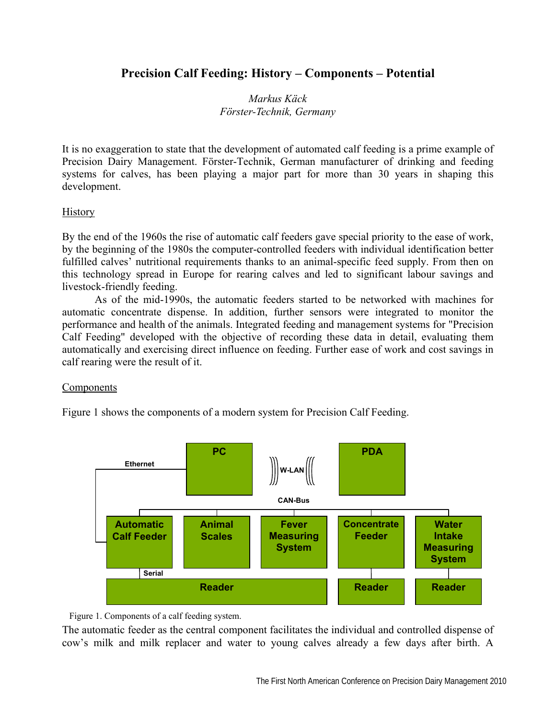# **Precision Calf Feeding: History – Components – Potential**

## *Markus Käck Förster-Technik, Germany*

It is no exaggeration to state that the development of automated calf feeding is a prime example of Precision Dairy Management. Förster-Technik, German manufacturer of drinking and feeding systems for calves, has been playing a major part for more than 30 years in shaping this development.

#### History

By the end of the 1960s the rise of automatic calf feeders gave special priority to the ease of work, by the beginning of the 1980s the computer-controlled feeders with individual identification better fulfilled calves' nutritional requirements thanks to an animal-specific feed supply. From then on this technology spread in Europe for rearing calves and led to significant labour savings and livestock-friendly feeding.

 As of the mid-1990s, the automatic feeders started to be networked with machines for automatic concentrate dispense. In addition, further sensors were integrated to monitor the performance and health of the animals. Integrated feeding and management systems for "Precision Calf Feeding" developed with the objective of recording these data in detail, evaluating them automatically and exercising direct influence on feeding. Further ease of work and cost savings in calf rearing were the result of it.

#### Components

Figure 1 shows the components of a modern system for Precision Calf Feeding.



Figure 1. Components of a calf feeding system.

The automatic feeder as the central component facilitates the individual and controlled dispense of cow's milk and milk replacer and water to young calves already a few days after birth. A